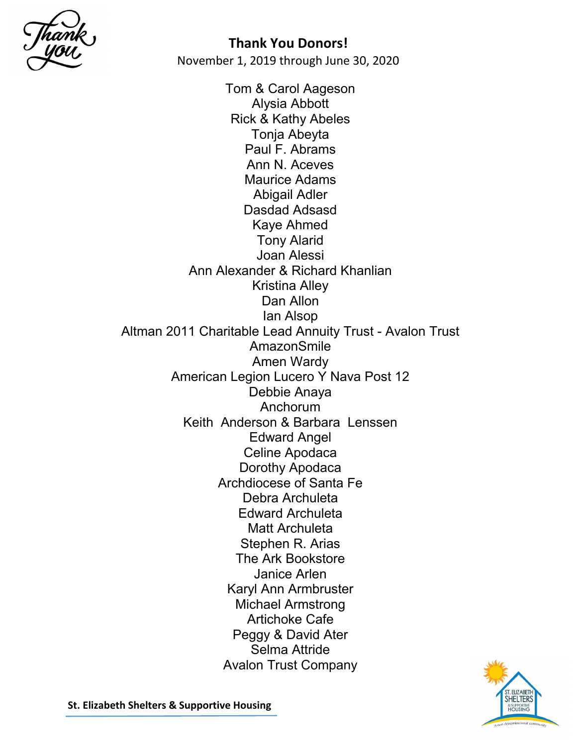

Tom & Carol Aageson Alysia Abbott Rick & Kathy Abeles Tonja Abeyta Paul F. Abrams Ann N. Aceves Maurice Adams Abigail Adler Dasdad Adsasd Kaye Ahmed Tony Alarid Joan Alessi Ann Alexander & Richard Khanlian Kristina Alley Dan Allon Ian Alsop Altman 2011 Charitable Lead Annuity Trust - Avalon Trust AmazonSmile Amen Wardy American Legion Lucero Y Nava Post 12 Debbie Anaya Anchorum Keith Anderson & Barbara Lenssen Edward Angel Celine Apodaca Dorothy Apodaca Archdiocese of Santa Fe Debra Archuleta Edward Archuleta Matt Archuleta Stephen R. Arias The Ark Bookstore Janice Arlen Karyl Ann Armbruster Michael Armstrong Artichoke Cafe Peggy & David Ater Selma Attride Avalon Trust Company

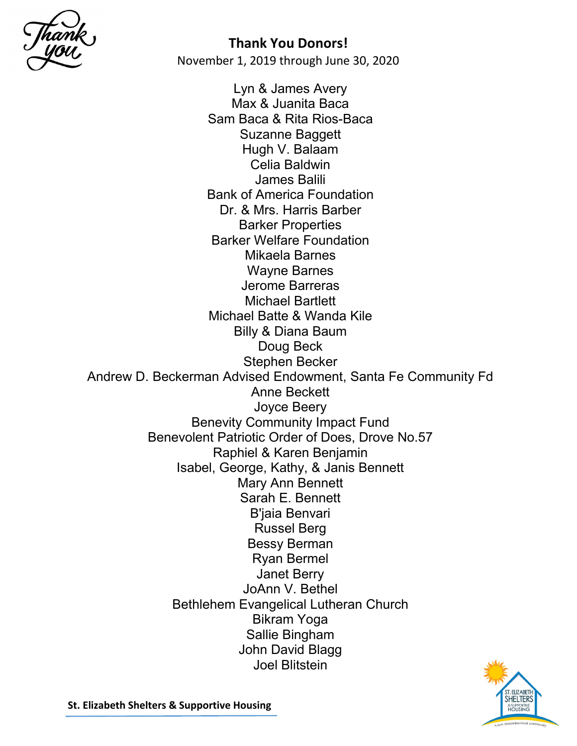

Lyn & James Avery Max & Juanita Baca Sam Baca & Rita Rios-Baca Suzanne Baggett Hugh V. Balaam Celia Baldwin James Balili Bank of America Foundation Dr. & Mrs. Harris Barber Barker Properties Barker Welfare Foundation Mikaela Barnes Wayne Barnes Jerome Barreras Michael Bartlett Michael Batte & Wanda Kile Billy & Diana Baum Doug Beck Stephen Becker Andrew D. Beckerman Advised Endowment, Santa Fe Community Fd Anne Beckett Joyce Beery Benevity Community Impact Fund Benevolent Patriotic Order of Does, Drove No.57 Raphiel & Karen Benjamin Isabel, George, Kathy, & Janis Bennett Mary Ann Bennett Sarah E. Bennett B'jaia Benvari Russel Berg Bessy Berman Ryan Bermel Janet Berry JoAnn V. Bethel Bethlehem Evangelical Lutheran Church Bikram Yoga Sallie Bingham John David Blagg Joel Blitstein

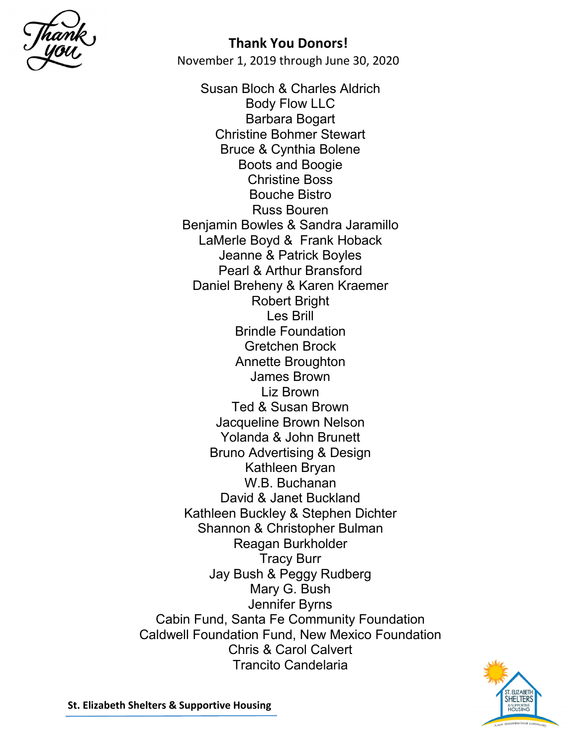

November 1, 2019 through June 30, 2020

Susan Bloch & Charles Aldrich Body Flow LLC Barbara Bogart Christine Bohmer Stewart Bruce & Cynthia Bolene Boots and Boogie Christine Boss Bouche Bistro Russ Bouren Benjamin Bowles & Sandra Jaramillo LaMerle Boyd & Frank Hoback Jeanne & Patrick Boyles Pearl & Arthur Bransford Daniel Breheny & Karen Kraemer Robert Bright Les Brill Brindle Foundation Gretchen Brock Annette Broughton James Brown Liz Brown Ted & Susan Brown Jacqueline Brown Nelson Yolanda & John Brunett Bruno Advertising & Design Kathleen Bryan W.B. Buchanan David & Janet Buckland Kathleen Buckley & Stephen Dichter Shannon & Christopher Bulman Reagan Burkholder Tracy Burr Jay Bush & Peggy Rudberg Mary G. Bush Jennifer Byrns Cabin Fund, Santa Fe Community Foundation Caldwell Foundation Fund, New Mexico Foundation Chris & Carol Calvert Trancito Candelaria

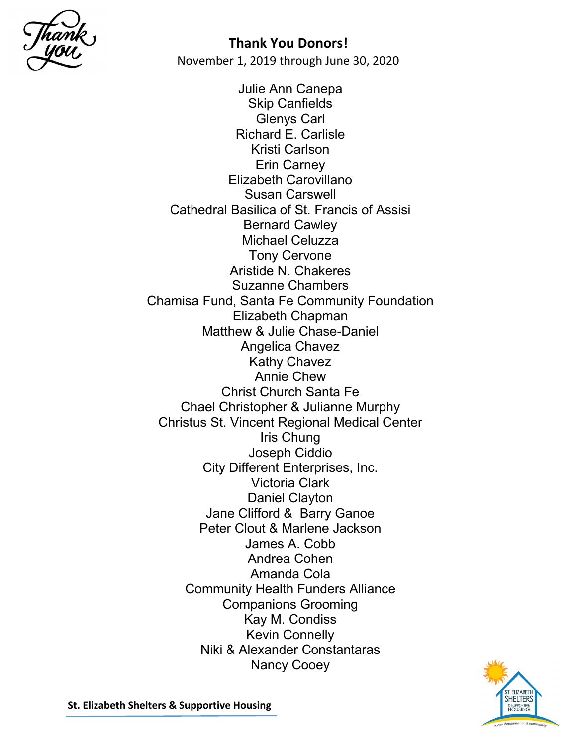

Julie Ann Canepa Skip Canfields Glenys Carl Richard E. Carlisle Kristi Carlson Erin Carney Elizabeth Carovillano Susan Carswell Cathedral Basilica of St. Francis of Assisi Bernard Cawley Michael Celuzza Tony Cervone Aristide N. Chakeres Suzanne Chambers Chamisa Fund, Santa Fe Community Foundation Elizabeth Chapman Matthew & Julie Chase-Daniel Angelica Chavez Kathy Chavez Annie Chew Christ Church Santa Fe Chael Christopher & Julianne Murphy Christus St. Vincent Regional Medical Center Iris Chung Joseph Ciddio City Different Enterprises, Inc. Victoria Clark Daniel Clayton Jane Clifford & Barry Ganoe Peter Clout & Marlene Jackson James A. Cobb Andrea Cohen Amanda Cola Community Health Funders Alliance Companions Grooming Kay M. Condiss Kevin Connelly Niki & Alexander Constantaras Nancy Cooey

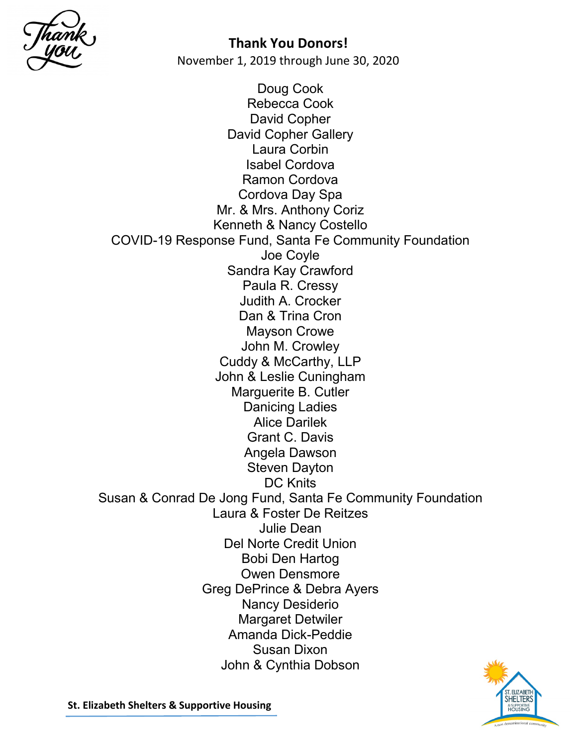

November 1, 2019 through June 30, 2020

Doug Cook Rebecca Cook David Copher David Copher Gallery Laura Corbin Isabel Cordova Ramon Cordova Cordova Day Spa Mr. & Mrs. Anthony Coriz Kenneth & Nancy Costello COVID-19 Response Fund, Santa Fe Community Foundation Joe Coyle Sandra Kay Crawford Paula R. Cressy Judith A. Crocker Dan & Trina Cron Mayson Crowe John M. Crowley Cuddy & McCarthy, LLP John & Leslie Cuningham Marguerite B. Cutler Danicing Ladies Alice Darilek Grant C. Davis Angela Dawson Steven Dayton DC Knits Susan & Conrad De Jong Fund, Santa Fe Community Foundation Laura & Foster De Reitzes Julie Dean Del Norte Credit Union Bobi Den Hartog Owen Densmore Greg DePrince & Debra Ayers Nancy Desiderio Margaret Detwiler Amanda Dick-Peddie Susan Dixon John & Cynthia Dobson

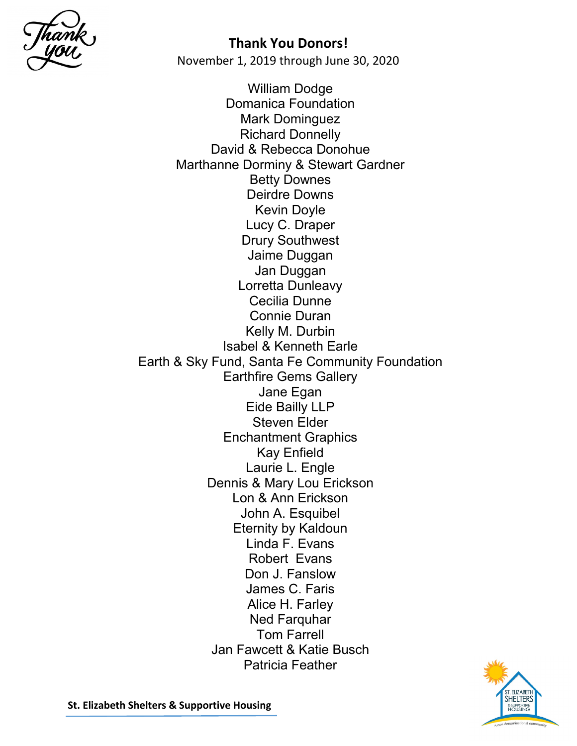

November 1, 2019 through June 30, 2020

William Dodge Domanica Foundation Mark Dominguez Richard Donnelly David & Rebecca Donohue Marthanne Dorminy & Stewart Gardner Betty Downes Deirdre Downs Kevin Doyle Lucy C. Draper Drury Southwest Jaime Duggan Jan Duggan Lorretta Dunleavy Cecilia Dunne Connie Duran Kelly M. Durbin Isabel & Kenneth Earle Earth & Sky Fund, Santa Fe Community Foundation Earthfire Gems Gallery Jane Egan Eide Bailly LLP Steven Elder Enchantment Graphics Kay Enfield Laurie L. Engle Dennis & Mary Lou Erickson Lon & Ann Erickson John A. Esquibel Eternity by Kaldoun Linda F. Evans Robert Evans Don J. Fanslow James C. Faris Alice H. Farley Ned Farquhar Tom Farrell Jan Fawcett & Katie Busch Patricia Feather

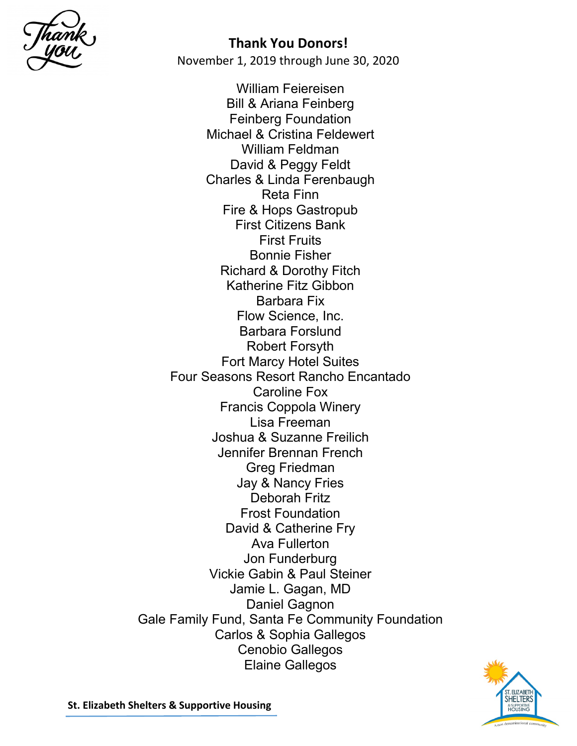

William Feiereisen Bill & Ariana Feinberg Feinberg Foundation Michael & Cristina Feldewert William Feldman David & Peggy Feldt Charles & Linda Ferenbaugh Reta Finn Fire & Hops Gastropub First Citizens Bank First Fruits Bonnie Fisher Richard & Dorothy Fitch Katherine Fitz Gibbon Barbara Fix Flow Science, Inc. Barbara Forslund Robert Forsyth Fort Marcy Hotel Suites Four Seasons Resort Rancho Encantado Caroline Fox Francis Coppola Winery Lisa Freeman Joshua & Suzanne Freilich Jennifer Brennan French Greg Friedman Jay & Nancy Fries Deborah Fritz Frost Foundation David & Catherine Fry Ava Fullerton Jon Funderburg Vickie Gabin & Paul Steiner Jamie L. Gagan, MD Daniel Gagnon Gale Family Fund, Santa Fe Community Foundation Carlos & Sophia Gallegos Cenobio Gallegos Elaine Gallegos

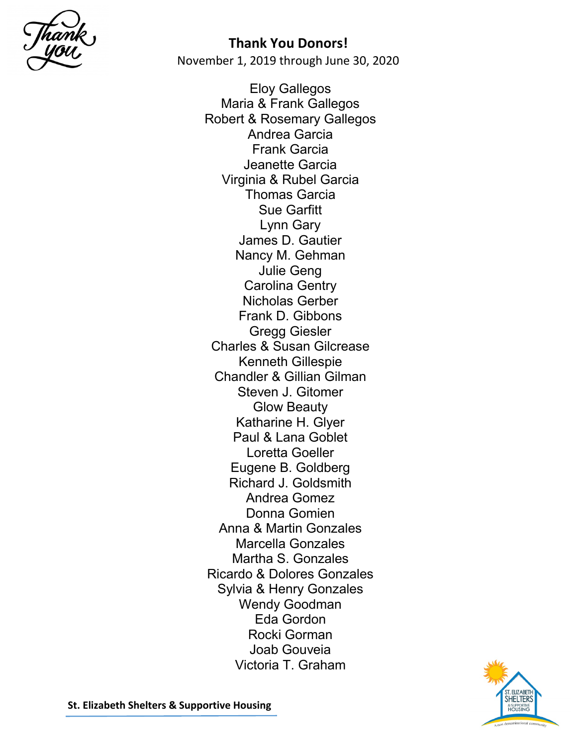

November 1, 2019 through June 30, 2020

Eloy Gallegos Maria & Frank Gallegos Robert & Rosemary Gallegos Andrea Garcia Frank Garcia Jeanette Garcia Virginia & Rubel Garcia Thomas Garcia Sue Garfitt Lynn Gary James D. Gautier Nancy M. Gehman Julie Geng Carolina Gentry Nicholas Gerber Frank D. Gibbons Gregg Giesler Charles & Susan Gilcrease Kenneth Gillespie Chandler & Gillian Gilman Steven J. Gitomer Glow Beauty Katharine H. Glyer Paul & Lana Goblet Loretta Goeller Eugene B. Goldberg Richard J. Goldsmith Andrea Gomez Donna Gomien Anna & Martin Gonzales Marcella Gonzales Martha S. Gonzales Ricardo & Dolores Gonzales Sylvia & Henry Gonzales Wendy Goodman Eda Gordon Rocki Gorman Joab Gouveia Victoria T. Graham

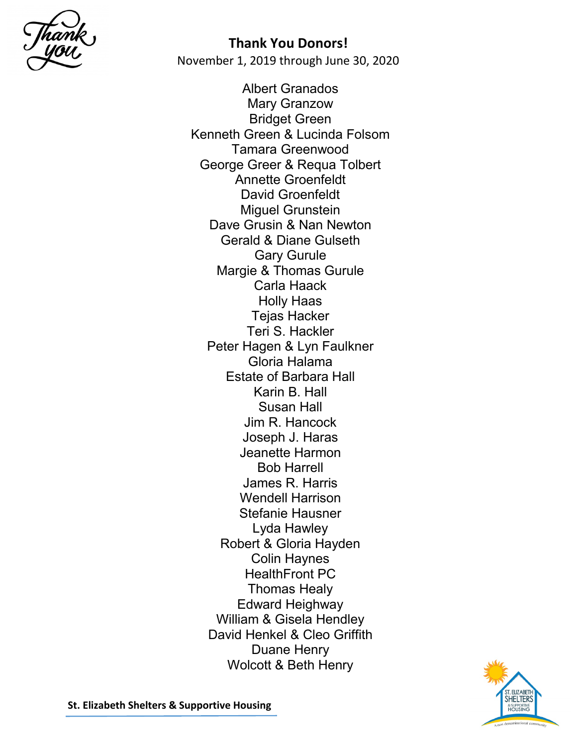

Albert Granados Mary Granzow Bridget Green Kenneth Green & Lucinda Folsom Tamara Greenwood George Greer & Requa Tolbert Annette Groenfeldt David Groenfeldt Miguel Grunstein Dave Grusin & Nan Newton Gerald & Diane Gulseth Gary Gurule Margie & Thomas Gurule Carla Haack Holly Haas Tejas Hacker Teri S. Hackler Peter Hagen & Lyn Faulkner Gloria Halama Estate of Barbara Hall Karin B. Hall Susan Hall Jim R. Hancock Joseph J. Haras Jeanette Harmon Bob Harrell James R. Harris Wendell Harrison Stefanie Hausner Lyda Hawley Robert & Gloria Hayden Colin Haynes HealthFront PC Thomas Healy Edward Heighway William & Gisela Hendley David Henkel & Cleo Griffith Duane Henry Wolcott & Beth Henry

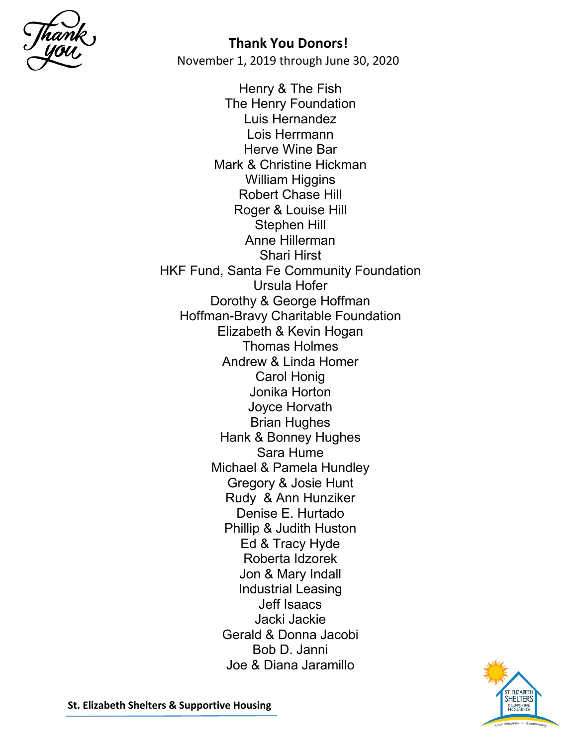

Henry & The Fish The Henry Foundation Luis Hernandez Lois Herrmann Herve Wine Bar Mark & Christine Hickman William Higgins Robert Chase Hill Roger & Louise Hill Stephen Hill Anne Hillerman Shari Hirst HKF Fund, Santa Fe Community Foundation Ursula Hofer Dorothy & George Hoffman Hoffman-Bravy Charitable Foundation Elizabeth & Kevin Hogan Thomas Holmes Andrew & Linda Homer Carol Honig Jonika Horton Joyce Horvath Brian Hughes Hank & Bonney Hughes Sara Hume Michael & Pamela Hundley Gregory & Josie Hunt Rudy & Ann Hunziker Denise E. Hurtado Phillip & Judith Huston Ed & Tracy Hyde Roberta Idzorek Jon & Mary Indall Industrial Leasing Jeff Isaacs Jacki Jackie Gerald & Donna Jacobi Bob D. Janni Joe & Diana Jaramillo

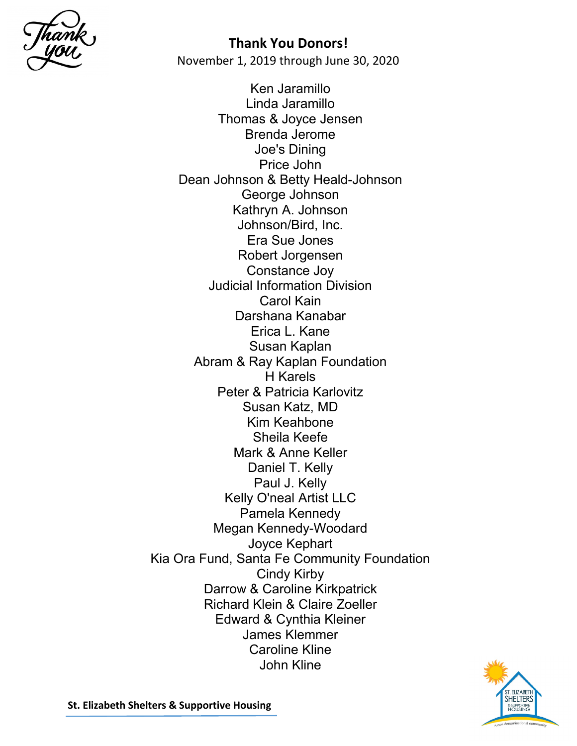

November 1, 2019 through June 30, 2020

Ken Jaramillo Linda Jaramillo Thomas & Joyce Jensen Brenda Jerome Joe's Dining Price John Dean Johnson & Betty Heald-Johnson George Johnson Kathryn A. Johnson Johnson/Bird, Inc. Era Sue Jones Robert Jorgensen Constance Joy Judicial Information Division Carol Kain Darshana Kanabar Erica L. Kane Susan Kaplan Abram & Ray Kaplan Foundation H Karels Peter & Patricia Karlovitz Susan Katz, MD Kim Keahbone Sheila Keefe Mark & Anne Keller Daniel T. Kelly Paul J. Kelly Kelly O'neal Artist LLC Pamela Kennedy Megan Kennedy-Woodard Joyce Kephart Kia Ora Fund, Santa Fe Community Foundation Cindy Kirby Darrow & Caroline Kirkpatrick Richard Klein & Claire Zoeller Edward & Cynthia Kleiner James Klemmer Caroline Kline John Kline

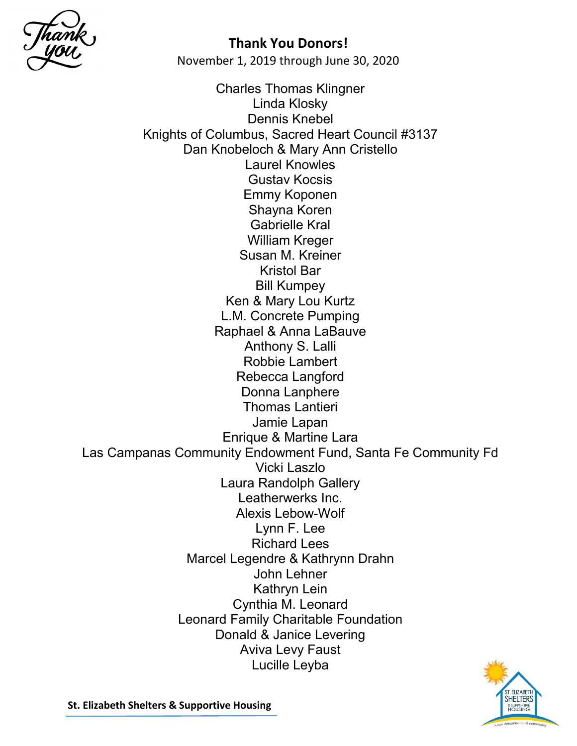

November 1, 2019 through June 30, 2020

Charles Thomas Klingner Linda Klosky Dennis Knebel Knights of Columbus, Sacred Heart Council #3137 Dan Knobeloch & Mary Ann Cristello Laurel Knowles Gustav Kocsis Emmy Koponen Shayna Koren Gabrielle Kral William Kreger Susan M. Kreiner Kristol Bar Bill Kumpey Ken & Mary Lou Kurtz L.M. Concrete Pumping Raphael & Anna LaBauve Anthony S. Lalli Robbie Lambert Rebecca Langford Donna Lanphere Thomas Lantieri Jamie Lapan Enrique & Martine Lara Las Campanas Community Endowment Fund, Santa Fe Community Fd Vicki Laszlo Laura Randolph Gallery Leatherwerks Inc. Alexis Lebow-Wolf Lynn F. Lee Richard Lees Marcel Legendre & Kathrynn Drahn John Lehner Kathryn Lein Cynthia M. Leonard Leonard Family Charitable Foundation Donald & Janice Levering Aviva Levy Faust Lucille Leyba

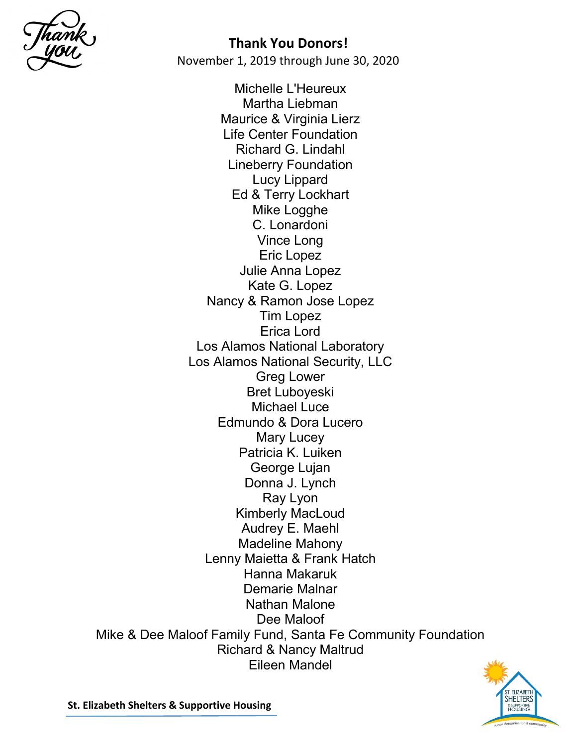

Michelle L'Heureux Martha Liebman Maurice & Virginia Lierz Life Center Foundation Richard G. Lindahl Lineberry Foundation Lucy Lippard Ed & Terry Lockhart Mike Logghe C. Lonardoni Vince Long Eric Lopez Julie Anna Lopez Kate G. Lopez Nancy & Ramon Jose Lopez Tim Lopez Erica Lord Los Alamos National Laboratory Los Alamos National Security, LLC Greg Lower Bret Luboyeski Michael Luce Edmundo & Dora Lucero Mary Lucey Patricia K. Luiken George Lujan Donna J. Lynch Ray Lyon Kimberly MacLoud Audrey E. Maehl Madeline Mahony Lenny Maietta & Frank Hatch Hanna Makaruk Demarie Malnar Nathan Malone Dee Maloof Mike & Dee Maloof Family Fund, Santa Fe Community Foundation Richard & Nancy Maltrud Eileen Mandel

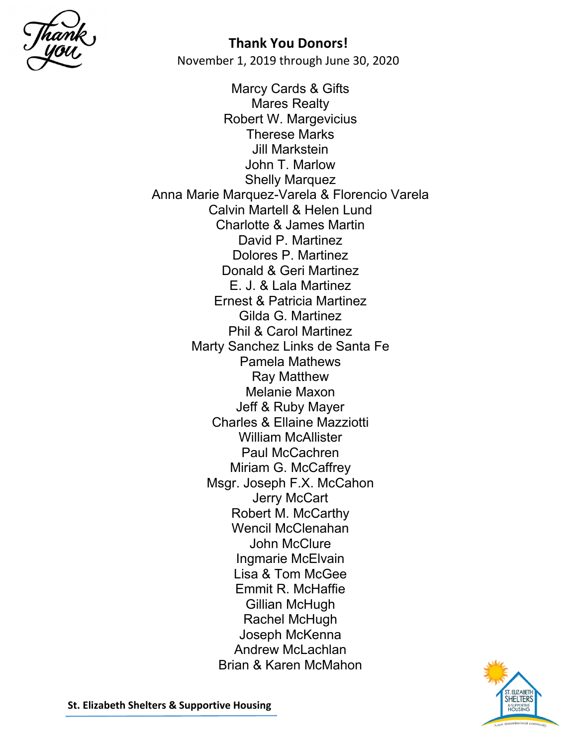

Marcy Cards & Gifts Mares Realty Robert W. Margevicius Therese Marks Jill Markstein John T. Marlow Shelly Marquez Anna Marie Marquez-Varela & Florencio Varela Calvin Martell & Helen Lund Charlotte & James Martin David P. Martinez Dolores P. Martinez Donald & Geri Martinez E. J. & Lala Martinez Ernest & Patricia Martinez Gilda G. Martinez Phil & Carol Martinez Marty Sanchez Links de Santa Fe Pamela Mathews Ray Matthew Melanie Maxon Jeff & Ruby Mayer Charles & Ellaine Mazziotti William McAllister Paul McCachren Miriam G. McCaffrey Msgr. Joseph F.X. McCahon Jerry McCart Robert M. McCarthy Wencil McClenahan John McClure Ingmarie McElvain Lisa & Tom McGee Emmit R. McHaffie Gillian McHugh Rachel McHugh Joseph McKenna Andrew McLachlan Brian & Karen McMahon

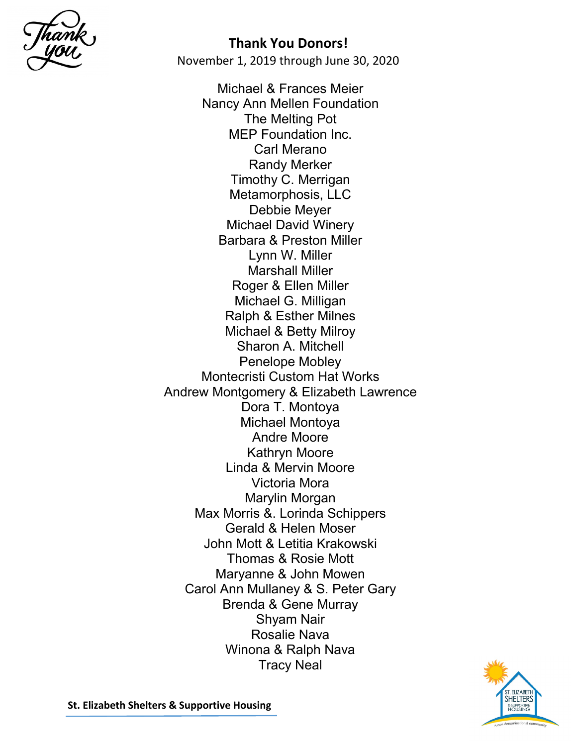

November 1, 2019 through June 30, 2020

Michael & Frances Meier Nancy Ann Mellen Foundation The Melting Pot MEP Foundation Inc. Carl Merano Randy Merker Timothy C. Merrigan Metamorphosis, LLC Debbie Meyer Michael David Winery Barbara & Preston Miller Lynn W. Miller Marshall Miller Roger & Ellen Miller Michael G. Milligan Ralph & Esther Milnes Michael & Betty Milroy Sharon A. Mitchell Penelope Mobley Montecristi Custom Hat Works Andrew Montgomery & Elizabeth Lawrence Dora T. Montoya Michael Montoya Andre Moore Kathryn Moore Linda & Mervin Moore Victoria Mora Marylin Morgan Max Morris &. Lorinda Schippers Gerald & Helen Moser John Mott & Letitia Krakowski Thomas & Rosie Mott Maryanne & John Mowen Carol Ann Mullaney & S. Peter Gary Brenda & Gene Murray Shyam Nair Rosalie Nava Winona & Ralph Nava Tracy Neal

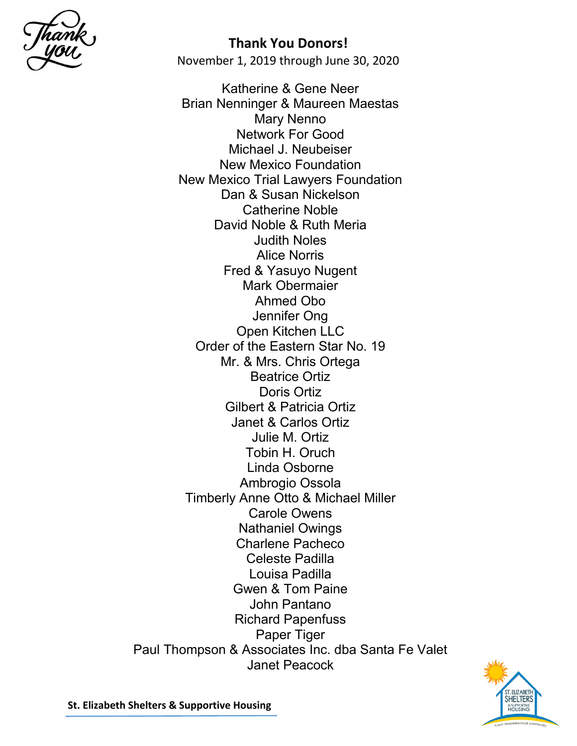

November 1, 2019 through June 30, 2020

Katherine & Gene Neer Brian Nenninger & Maureen Maestas Mary Nenno Network For Good Michael J. Neubeiser New Mexico Foundation New Mexico Trial Lawyers Foundation Dan & Susan Nickelson Catherine Noble David Noble & Ruth Meria Judith Noles Alice Norris Fred & Yasuyo Nugent Mark Obermaier Ahmed Obo Jennifer Ong Open Kitchen LLC Order of the Eastern Star No. 19 Mr. & Mrs. Chris Ortega Beatrice Ortiz Doris Ortiz Gilbert & Patricia Ortiz Janet & Carlos Ortiz Julie M. Ortiz Tobin H. Oruch Linda Osborne Ambrogio Ossola Timberly Anne Otto & Michael Miller Carole Owens Nathaniel Owings Charlene Pacheco Celeste Padilla Louisa Padilla Gwen & Tom Paine John Pantano Richard Papenfuss Paper Tiger Paul Thompson & Associates Inc. dba Santa Fe Valet Janet Peacock

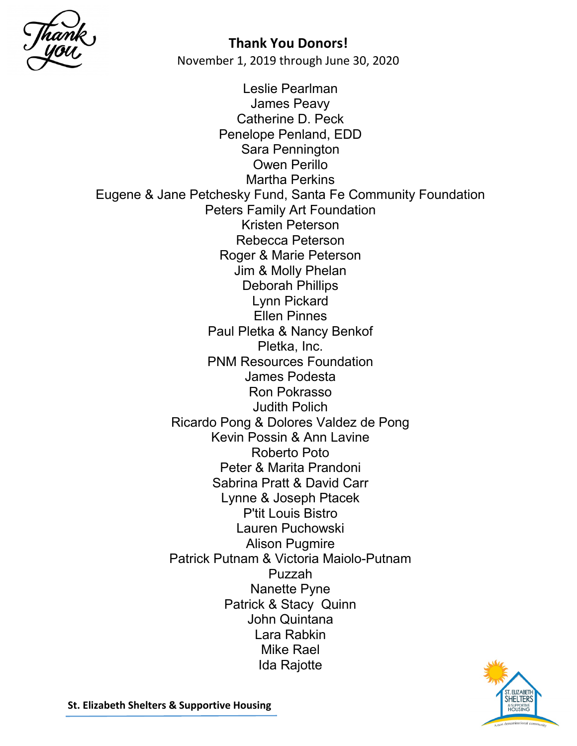

Leslie Pearlman James Peavy Catherine D. Peck Penelope Penland, EDD Sara Pennington Owen Perillo Martha Perkins Eugene & Jane Petchesky Fund, Santa Fe Community Foundation Peters Family Art Foundation Kristen Peterson Rebecca Peterson Roger & Marie Peterson Jim & Molly Phelan Deborah Phillips Lynn Pickard Ellen Pinnes Paul Pletka & Nancy Benkof Pletka, Inc. PNM Resources Foundation James Podesta Ron Pokrasso Judith Polich Ricardo Pong & Dolores Valdez de Pong Kevin Possin & Ann Lavine Roberto Poto Peter & Marita Prandoni Sabrina Pratt & David Carr Lynne & Joseph Ptacek P'tit Louis Bistro Lauren Puchowski Alison Pugmire Patrick Putnam & Victoria Maiolo-Putnam Puzzah Nanette Pyne Patrick & Stacy Quinn John Quintana Lara Rabkin Mike Rael Ida Rajotte

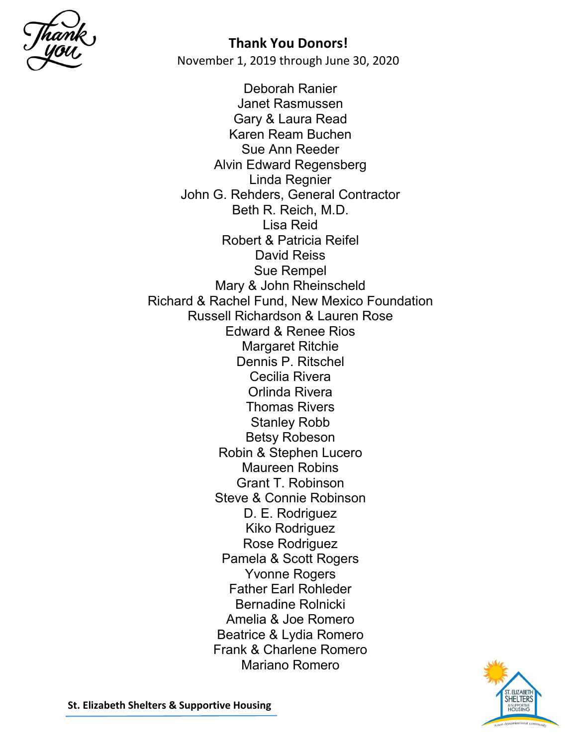

Deborah Ranier Janet Rasmussen Gary & Laura Read Karen Ream Buchen Sue Ann Reeder Alvin Edward Regensberg Linda Regnier John G. Rehders, General Contractor Beth R. Reich, M.D. Lisa Reid Robert & Patricia Reifel David Reiss Sue Rempel Mary & John Rheinscheld Richard & Rachel Fund, New Mexico Foundation Russell Richardson & Lauren Rose Edward & Renee Rios Margaret Ritchie Dennis P. Ritschel Cecilia Rivera Orlinda Rivera Thomas Rivers Stanley Robb Betsy Robeson Robin & Stephen Lucero Maureen Robins Grant T. Robinson Steve & Connie Robinson D. E. Rodriguez Kiko Rodriguez Rose Rodriguez Pamela & Scott Rogers Yvonne Rogers Father Earl Rohleder Bernadine Rolnicki Amelia & Joe Romero Beatrice & Lydia Romero Frank & Charlene Romero Mariano Romero

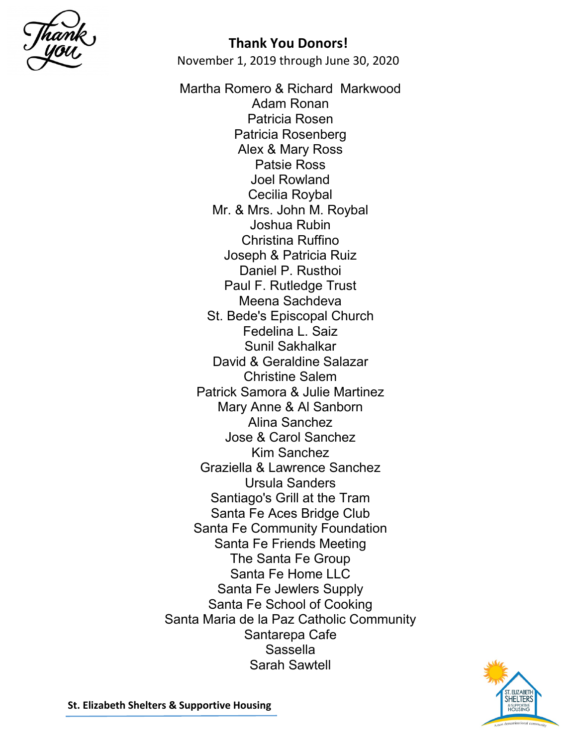

November 1, 2019 through June 30, 2020

Martha Romero & Richard Markwood Adam Ronan Patricia Rosen Patricia Rosenberg Alex & Mary Ross Patsie Ross Joel Rowland Cecilia Roybal Mr. & Mrs. John M. Roybal Joshua Rubin Christina Ruffino Joseph & Patricia Ruiz Daniel P. Rusthoi Paul F. Rutledge Trust Meena Sachdeva St. Bede's Episcopal Church Fedelina L. Saiz Sunil Sakhalkar David & Geraldine Salazar Christine Salem Patrick Samora & Julie Martinez Mary Anne & Al Sanborn Alina Sanchez Jose & Carol Sanchez Kim Sanchez Graziella & Lawrence Sanchez Ursula Sanders Santiago's Grill at the Tram Santa Fe Aces Bridge Club Santa Fe Community Foundation Santa Fe Friends Meeting The Santa Fe Group Santa Fe Home LLC Santa Fe Jewlers Supply Santa Fe School of Cooking Santa Maria de la Paz Catholic Community Santarepa Cafe Sassella Sarah Sawtell

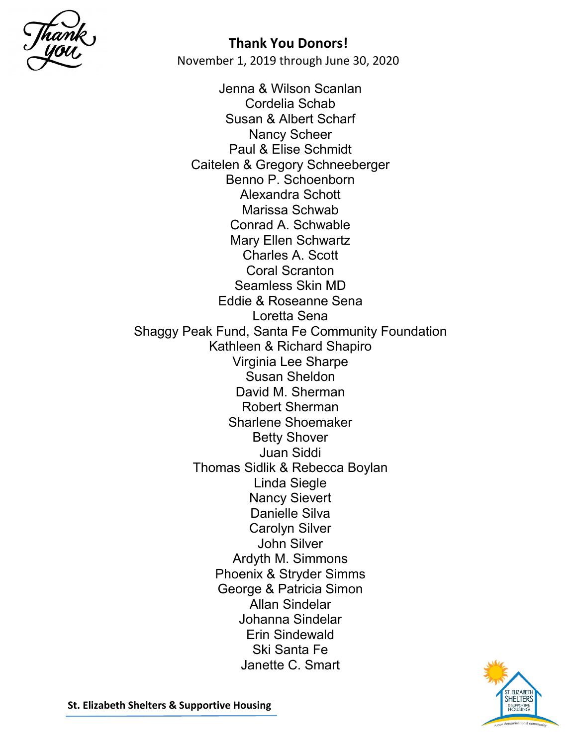

Jenna & Wilson Scanlan Cordelia Schab Susan & Albert Scharf Nancy Scheer Paul & Elise Schmidt Caitelen & Gregory Schneeberger Benno P. Schoenborn Alexandra Schott Marissa Schwab Conrad A. Schwable Mary Ellen Schwartz Charles A. Scott Coral Scranton Seamless Skin MD Eddie & Roseanne Sena Loretta Sena Shaggy Peak Fund, Santa Fe Community Foundation Kathleen & Richard Shapiro Virginia Lee Sharpe Susan Sheldon David M. Sherman Robert Sherman Sharlene Shoemaker Betty Shover Juan Siddi Thomas Sidlik & Rebecca Boylan Linda Siegle Nancy Sievert Danielle Silva Carolyn Silver John Silver Ardyth M. Simmons Phoenix & Stryder Simms George & Patricia Simon Allan Sindelar Johanna Sindelar Erin Sindewald Ski Santa Fe Janette C. Smart

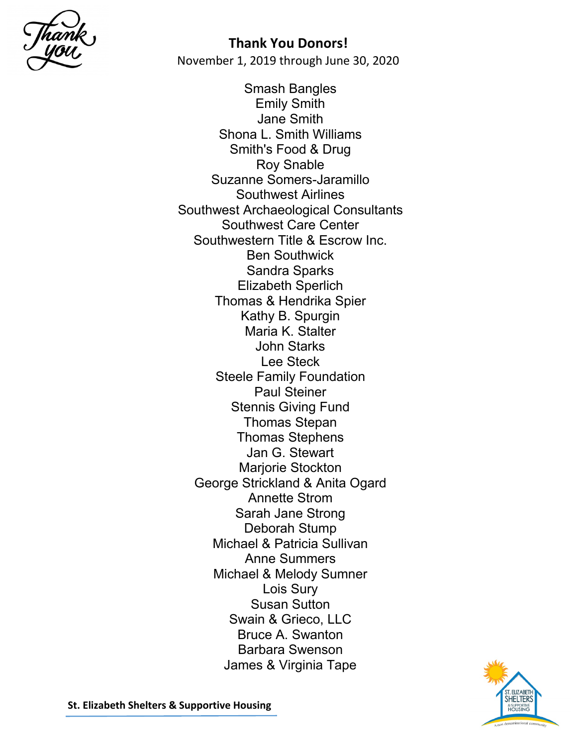

Smash Bangles Emily Smith Jane Smith Shona L. Smith Williams Smith's Food & Drug Roy Snable Suzanne Somers-Jaramillo Southwest Airlines Southwest Archaeological Consultants Southwest Care Center Southwestern Title & Escrow Inc. Ben Southwick Sandra Sparks Elizabeth Sperlich Thomas & Hendrika Spier Kathy B. Spurgin Maria K. Stalter John Starks Lee Steck Steele Family Foundation Paul Steiner Stennis Giving Fund Thomas Stepan Thomas Stephens Jan G. Stewart Marjorie Stockton George Strickland & Anita Ogard Annette Strom Sarah Jane Strong Deborah Stump Michael & Patricia Sullivan Anne Summers Michael & Melody Sumner Lois Sury Susan Sutton Swain & Grieco, LLC Bruce A. Swanton Barbara Swenson James & Virginia Tape

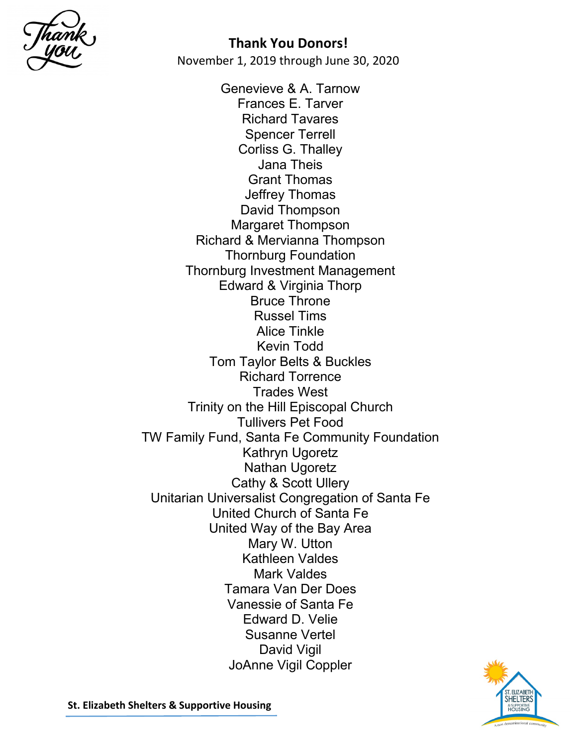

Genevieve & A. Tarnow Frances E. Tarver Richard Tavares Spencer Terrell Corliss G. Thalley Jana Theis Grant Thomas Jeffrey Thomas David Thompson Margaret Thompson Richard & Mervianna Thompson Thornburg Foundation Thornburg Investment Management Edward & Virginia Thorp Bruce Throne Russel Tims Alice Tinkle Kevin Todd Tom Taylor Belts & Buckles Richard Torrence Trades West Trinity on the Hill Episcopal Church Tullivers Pet Food TW Family Fund, Santa Fe Community Foundation Kathryn Ugoretz Nathan Ugoretz Cathy & Scott Ullery Unitarian Universalist Congregation of Santa Fe United Church of Santa Fe United Way of the Bay Area Mary W. Utton Kathleen Valdes Mark Valdes Tamara Van Der Does Vanessie of Santa Fe Edward D. Velie Susanne Vertel David Vigil JoAnne Vigil Coppler

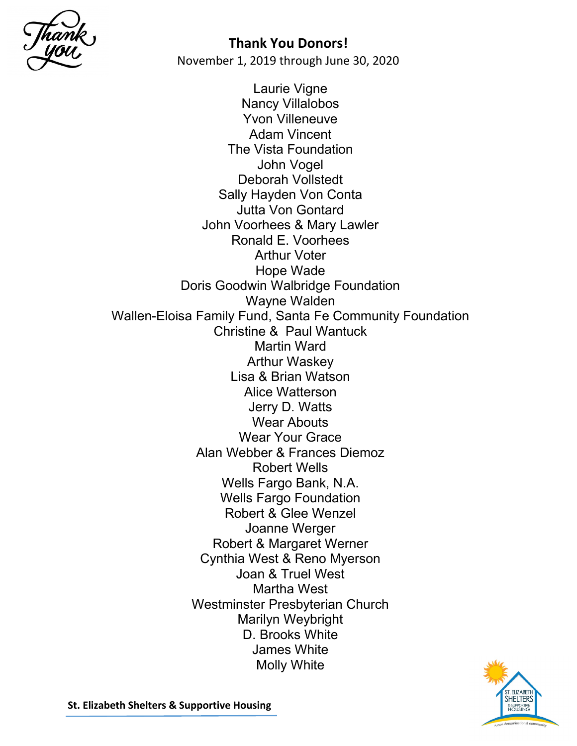

Laurie Vigne Nancy Villalobos Yvon Villeneuve Adam Vincent The Vista Foundation John Vogel Deborah Vollstedt Sally Hayden Von Conta Jutta Von Gontard John Voorhees & Mary Lawler Ronald E. Voorhees Arthur Voter Hope Wade Doris Goodwin Walbridge Foundation Wayne Walden Wallen-Eloisa Family Fund, Santa Fe Community Foundation Christine & Paul Wantuck Martin Ward Arthur Waskey Lisa & Brian Watson Alice Watterson Jerry D. Watts Wear Abouts Wear Your Grace Alan Webber & Frances Diemoz Robert Wells Wells Fargo Bank, N.A. Wells Fargo Foundation Robert & Glee Wenzel Joanne Werger Robert & Margaret Werner Cynthia West & Reno Myerson Joan & Truel West Martha West Westminster Presbyterian Church Marilyn Weybright D. Brooks White James White Molly White

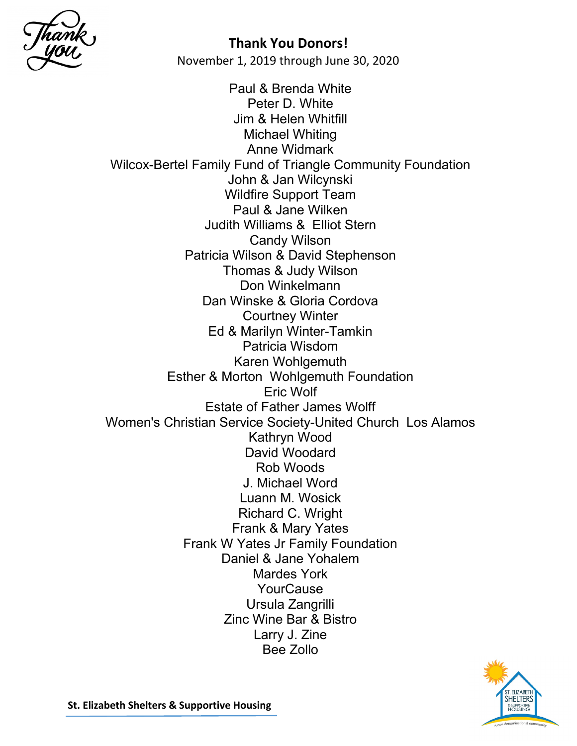

Paul & Brenda White Peter D. White Jim & Helen Whitfill Michael Whiting Anne Widmark Wilcox-Bertel Family Fund of Triangle Community Foundation John & Jan Wilcynski Wildfire Support Team Paul & Jane Wilken Judith Williams & Elliot Stern Candy Wilson Patricia Wilson & David Stephenson Thomas & Judy Wilson Don Winkelmann Dan Winske & Gloria Cordova Courtney Winter Ed & Marilyn Winter-Tamkin Patricia Wisdom Karen Wohlgemuth Esther & Morton Wohlgemuth Foundation Eric Wolf Estate of Father James Wolff Women's Christian Service Society-United Church Los Alamos Kathryn Wood David Woodard Rob Woods J. Michael Word Luann M. Wosick Richard C. Wright Frank & Mary Yates Frank W Yates Jr Family Foundation Daniel & Jane Yohalem Mardes York **YourCause** Ursula Zangrilli Zinc Wine Bar & Bistro Larry J. Zine Bee Zollo

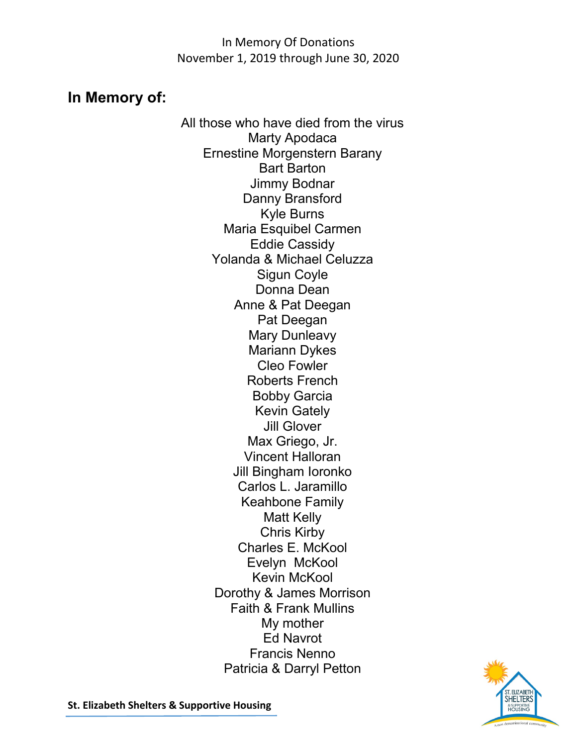In Memory Of Donations November 1, 2019 through June 30, 2020

# **In Memory of:**

All those who have died from the virus Marty Apodaca Ernestine Morgenstern Barany Bart Barton Jimmy Bodnar Danny Bransford Kyle Burns Maria Esquibel Carmen Eddie Cassidy Yolanda & Michael Celuzza Sigun Coyle Donna Dean Anne & Pat Deegan Pat Deegan Mary Dunleavy Mariann Dykes Cleo Fowler Roberts French Bobby Garcia Kevin Gately Jill Glover Max Griego, Jr. Vincent Halloran Jill Bingham Ioronko Carlos L. Jaramillo Keahbone Family Matt Kelly Chris Kirby Charles E. McKool Evelyn McKool Kevin McKool Dorothy & James Morrison Faith & Frank Mullins My mother Ed Navrot Francis Nenno Patricia & Darryl Petton

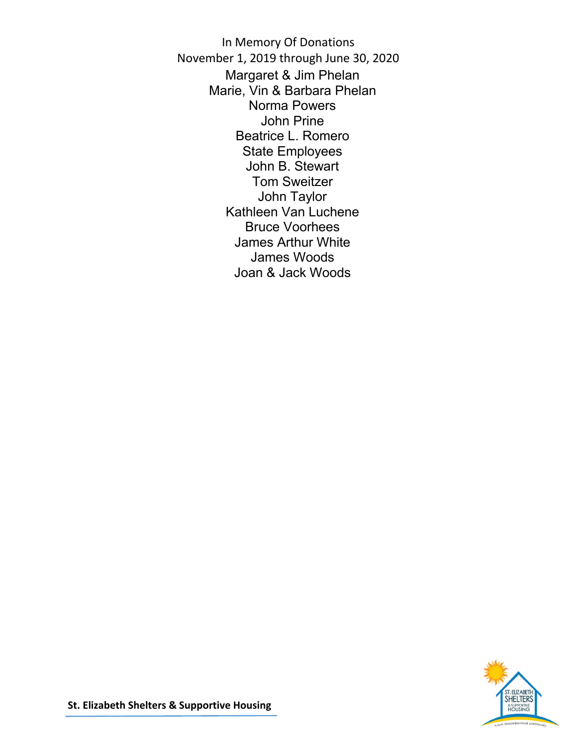In Memory Of Donations November 1, 2019 through June 30, 2020 Margaret & Jim Phelan Marie, Vin & Barbara Phelan Norma Powers John Prine Beatrice L. Romero State Employees John B. Stewart Tom Sweitzer John Taylor Kathleen Van Luchene Bruce Voorhees James Arthur White James Woods Joan & Jack Woods